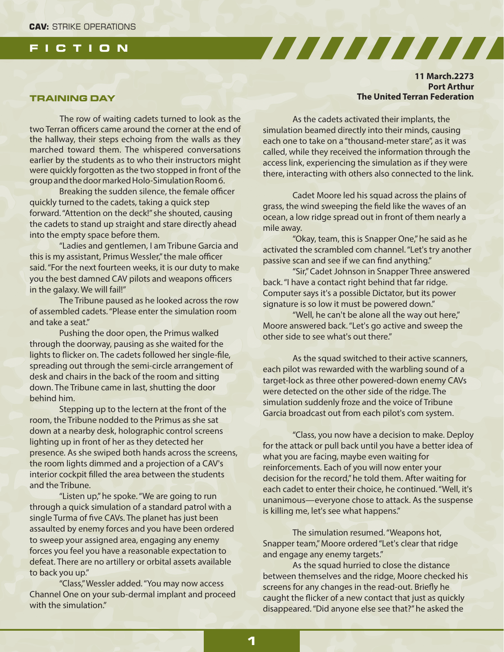# **FICTION**

### **TRAINING DAY**

The row of waiting cadets turned to look as the two Terran officers came around the corner at the end of the hallway, their steps echoing from the walls as they marched toward them. The whispered conversations earlier by the students as to who their instructors might were quickly forgotten as the two stopped in front of the group and the door marked Holo-Simulation Room 6.

Breaking the sudden silence, the female officer quickly turned to the cadets, taking a quick step forward. "Attention on the deck!" she shouted, causing the cadets to stand up straight and stare directly ahead into the empty space before them.

"Ladies and gentlemen, I am Tribune Garcia and this is my assistant, Primus Wessler," the male officer said. "For the next fourteen weeks, it is our duty to make you the best damned CAV pilots and weapons officers in the galaxy. We will fail!"

The Tribune paused as he looked across the row of assembled cadets. "Please enter the simulation room and take a seat."

Pushing the door open, the Primus walked through the doorway, pausing as she waited for the lights to flicker on. The cadets followed her single-file, spreading out through the semi-circle arrangement of desk and chairs in the back of the room and sitting down. The Tribune came in last, shutting the door behind him.

Stepping up to the lectern at the front of the room, the Tribune nodded to the Primus as she sat down at a nearby desk, holographic control screens lighting up in front of her as they detected her presence. As she swiped both hands across the screens, the room lights dimmed and a projection of a CAV's interior cockpit filled the area between the students and the Tribune.

"Listen up," he spoke. "We are going to run through a quick simulation of a standard patrol with a single Turma of five CAVs. The planet has just been assaulted by enemy forces and you have been ordered to sweep your assigned area, engaging any enemy forces you feel you have a reasonable expectation to defeat. There are no artillery or orbital assets available to back you up."

"Class,"Wessler added. "You may now access Channel One on your sub-dermal implant and proceed with the simulation"

## **11 March.2273 Port Arthur The United Terran Federation**

As the cadets activated their implants, the simulation beamed directly into their minds, causing each one to take on a "thousand-meter stare", as it was called, while they received the information through the access link, experiencing the simulation as if they were there, interacting with others also connected to the link.

<u>San di kacamatan Salah Bagai Sebagai Sebagai Sebagai Sebagai Sebagai Sebagai Sebagai Sebagai Sebagai Sebagai </u>

Cadet Moore led his squad across the plains of grass, the wind sweeping the field like the waves of an ocean, a low ridge spread out in front of them nearly a mile away.

"Okay, team, this is Snapper One," he said as he activated the scrambled com channel. "Let's try another passive scan and see if we can find anything."

"Sir," Cadet Johnson in Snapper Three answered back. "I have a contact right behind that far ridge. Computer says it's a possible Dictator, but its power signature is so low it must be powered down."

"Well, he can't be alone all the way out here," Moore answered back. "Let's go active and sweep the other side to see what's out there."

As the squad switched to their active scanners, each pilot was rewarded with the warbling sound of a target-lock as three other powered-down enemy CAVs were detected on the other side of the ridge. The simulation suddenly froze and the voice of Tribune Garcia broadcast out from each pilot's com system.

"Class, you now have a decision to make. Deploy for the attack or pull back until you have a better idea of what you are facing, maybe even waiting for reinforcements. Each of you will now enter your decision for the record," he told them. After waiting for each cadet to enter their choice, he continued. "Well, it's unanimous—everyone chose to attack. As the suspense is killing me, let's see what happens."

The simulation resumed. "Weapons hot, Snapper team," Moore ordered "Let's clear that ridge and engage any enemy targets."

As the squad hurried to close the distance between themselves and the ridge, Moore checked his screens for any changes in the read-out. Briefly he caught the flicker of a new contact that just as quickly disappeared. "Did anyone else see that?" he asked the